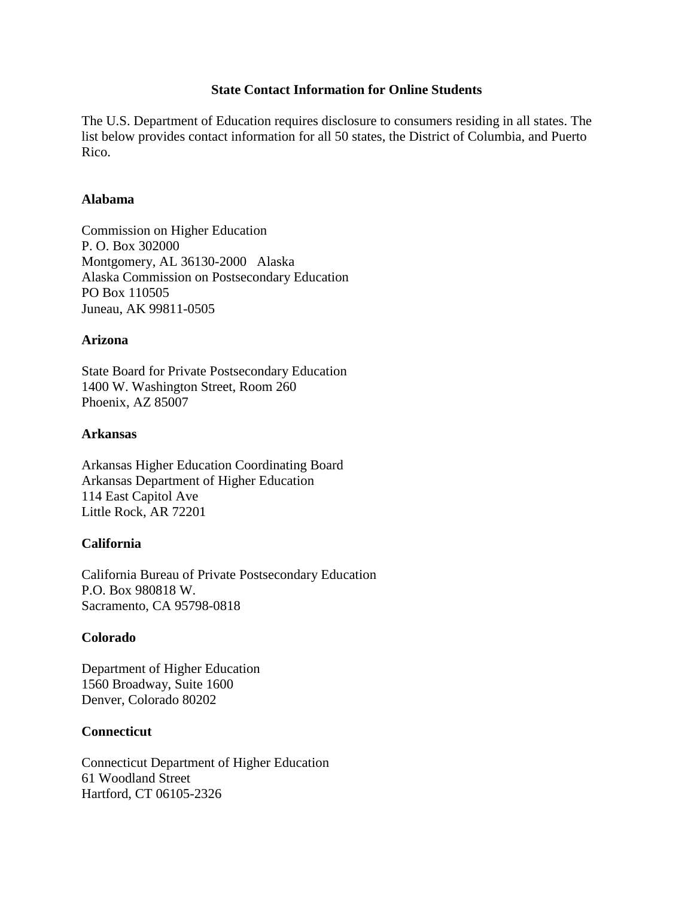#### **State Contact Information for Online Students**

The U.S. Department of Education requires disclosure to consumers residing in all states. The list below provides contact information for all 50 states, the District of Columbia, and Puerto Rico.

## **Alabama**

Commission on Higher Education P. O. Box 302000 Montgomery, AL 36130-2000 Alaska Alaska Commission on Postsecondary Education PO Box 110505 Juneau, AK 99811-0505

#### **Arizona**

State Board for Private Postsecondary Education 1400 W. Washington Street, Room 260 Phoenix, AZ 85007

#### **Arkansas**

Arkansas Higher Education Coordinating Board Arkansas Department of Higher Education 114 East Capitol Ave Little Rock, AR 72201

## **California**

California Bureau of Private Postsecondary Education P.O. Box 980818 W. Sacramento, CA 95798-0818

## **Colorado**

Department of Higher Education 1560 Broadway, Suite 1600 Denver, Colorado 80202

## **Connecticut**

Connecticut Department of Higher Education 61 Woodland Street Hartford, CT 06105-2326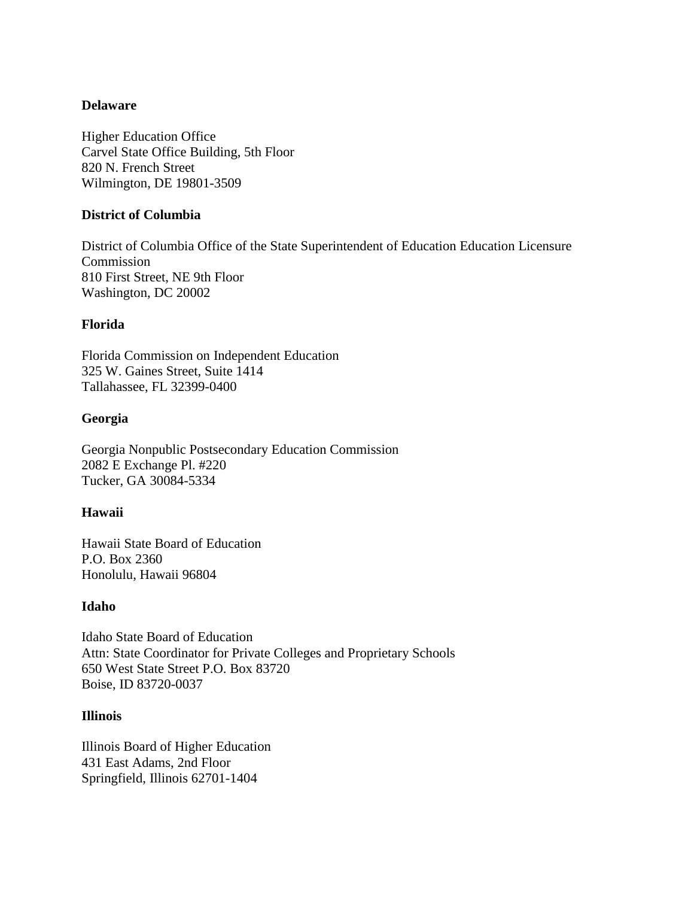# **Delaware**

Higher Education Office Carvel State Office Building, 5th Floor 820 N. French Street Wilmington, DE 19801-3509

## **District of Columbia**

District of Columbia Office of the State Superintendent of Education Education Licensure Commission 810 First Street, NE 9th Floor Washington, DC 20002

# **Florida**

Florida Commission on Independent Education 325 W. Gaines Street, Suite 1414 Tallahassee, FL 32399-0400

# **Georgia**

Georgia Nonpublic Postsecondary Education Commission 2082 E Exchange Pl. #220 Tucker, GA 30084-5334

# **Hawaii**

Hawaii State Board of Education P.O. Box 2360 Honolulu, Hawaii 96804

## **Idaho**

Idaho State Board of Education Attn: State Coordinator for Private Colleges and Proprietary Schools 650 West State Street P.O. Box 83720 Boise, ID 83720-0037

## **Illinois**

Illinois Board of Higher Education 431 East Adams, 2nd Floor Springfield, Illinois 62701-1404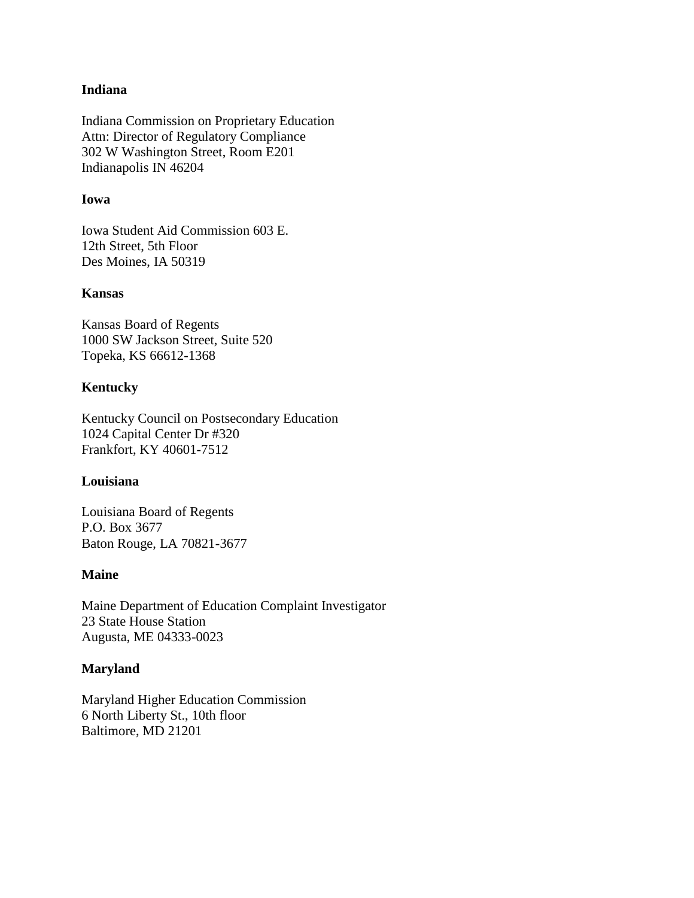#### **Indiana**

Indiana Commission on Proprietary Education Attn: Director of Regulatory Compliance 302 W Washington Street, Room E201 Indianapolis IN 46204

#### **Iowa**

Iowa Student Aid Commission 603 E. 12th Street, 5th Floor Des Moines, IA 50319

#### **Kansas**

Kansas Board of Regents 1000 SW Jackson Street, Suite 520 Topeka, KS 66612-1368

# **Kentucky**

Kentucky Council on Postsecondary Education 1024 Capital Center Dr #320 Frankfort, KY 40601-7512

## **Louisiana**

Louisiana Board of Regents P.O. Box 3677 Baton Rouge, LA 70821-3677

## **Maine**

Maine Department of Education Complaint Investigator 23 State House Station Augusta, ME 04333-0023

## **Maryland**

Maryland Higher Education Commission 6 North Liberty St., 10th floor Baltimore, MD 21201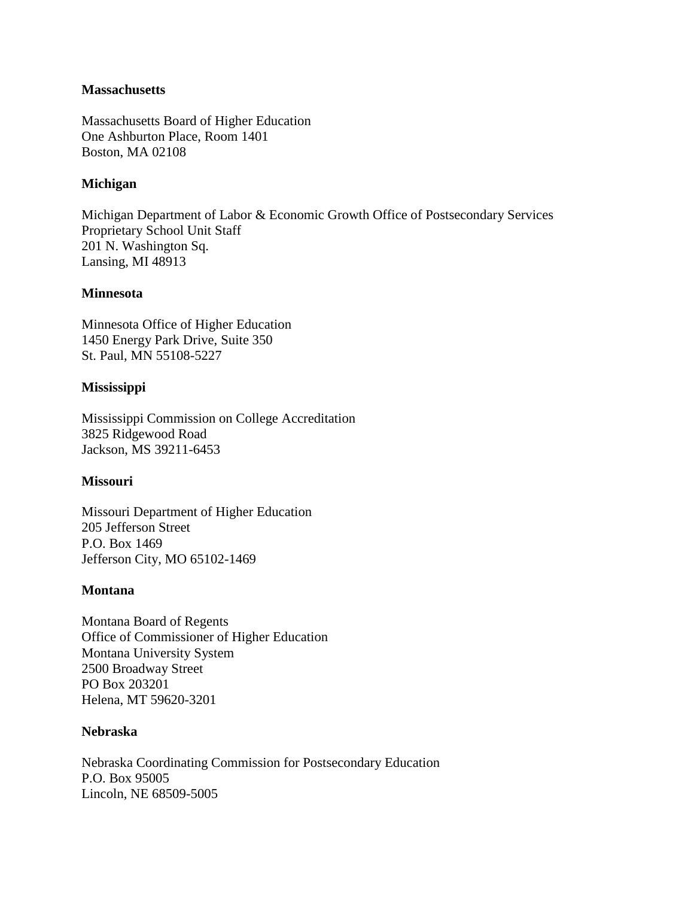#### **Massachusetts**

Massachusetts Board of Higher Education One Ashburton Place, Room 1401 Boston, MA 02108

# **Michigan**

Michigan Department of Labor & Economic Growth Office of Postsecondary Services Proprietary School Unit Staff 201 N. Washington Sq. Lansing, MI 48913

## **Minnesota**

Minnesota Office of Higher Education 1450 Energy Park Drive, Suite 350 St. Paul, MN 55108-5227

## **Mississippi**

Mississippi Commission on College Accreditation 3825 Ridgewood Road Jackson, MS 39211-6453

## **Missouri**

Missouri Department of Higher Education 205 Jefferson Street P.O. Box 1469 Jefferson City, MO 65102-1469

## **Montana**

Montana Board of Regents Office of Commissioner of Higher Education Montana University System 2500 Broadway Street PO Box 203201 Helena, MT 59620-3201

#### **Nebraska**

Nebraska Coordinating Commission for Postsecondary Education P.O. Box 95005 Lincoln, NE 68509-5005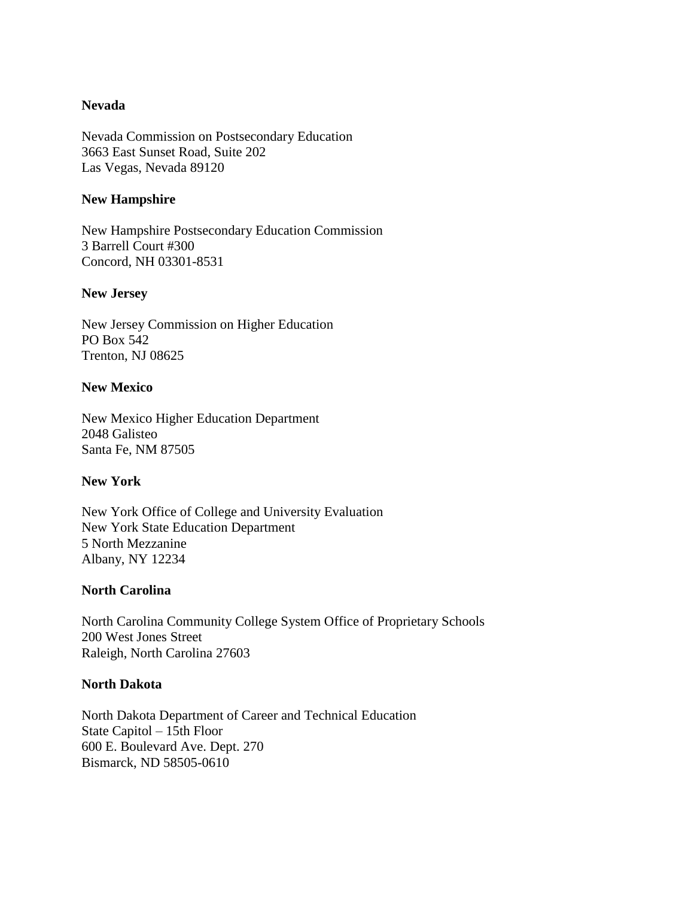#### **Nevada**

Nevada Commission on Postsecondary Education 3663 East Sunset Road, Suite 202 Las Vegas, Nevada 89120

#### **New Hampshire**

New Hampshire Postsecondary Education Commission 3 Barrell Court #300 Concord, NH 03301-8531

#### **New Jersey**

New Jersey Commission on Higher Education PO Box 542 Trenton, NJ 08625

#### **New Mexico**

New Mexico Higher Education Department 2048 Galisteo Santa Fe, NM 87505

## **New York**

New York Office of College and University Evaluation New York State Education Department 5 North Mezzanine Albany, NY 12234

## **North Carolina**

North Carolina Community College System Office of Proprietary Schools 200 West Jones Street Raleigh, North Carolina 27603

#### **North Dakota**

North Dakota Department of Career and Technical Education State Capitol – 15th Floor 600 E. Boulevard Ave. Dept. 270 Bismarck, ND 58505-0610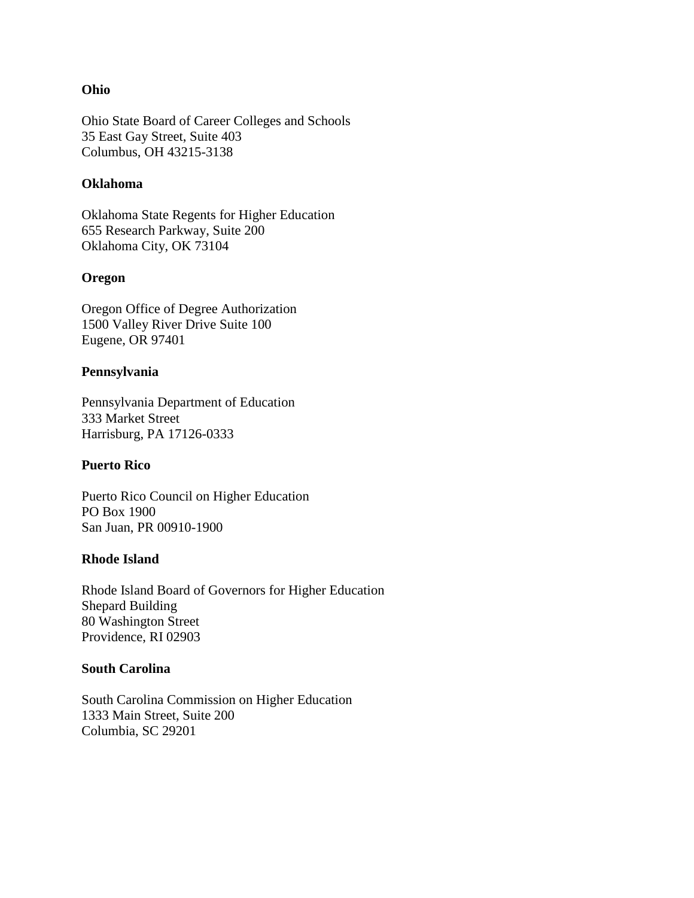#### **Ohio**

Ohio State Board of Career Colleges and Schools 35 East Gay Street, Suite 403 Columbus, OH 43215-3138

#### **Oklahoma**

Oklahoma State Regents for Higher Education 655 Research Parkway, Suite 200 Oklahoma City, OK 73104

#### **Oregon**

Oregon Office of Degree Authorization 1500 Valley River Drive Suite 100 Eugene, OR 97401

#### **Pennsylvania**

Pennsylvania Department of Education 333 Market Street Harrisburg, PA 17126-0333

## **Puerto Rico**

Puerto Rico Council on Higher Education PO Box 1900 San Juan, PR 00910-1900

## **Rhode Island**

Rhode Island Board of Governors for Higher Education Shepard Building 80 Washington Street Providence, RI 02903

#### **South Carolina**

South Carolina Commission on Higher Education 1333 Main Street, Suite 200 Columbia, SC 29201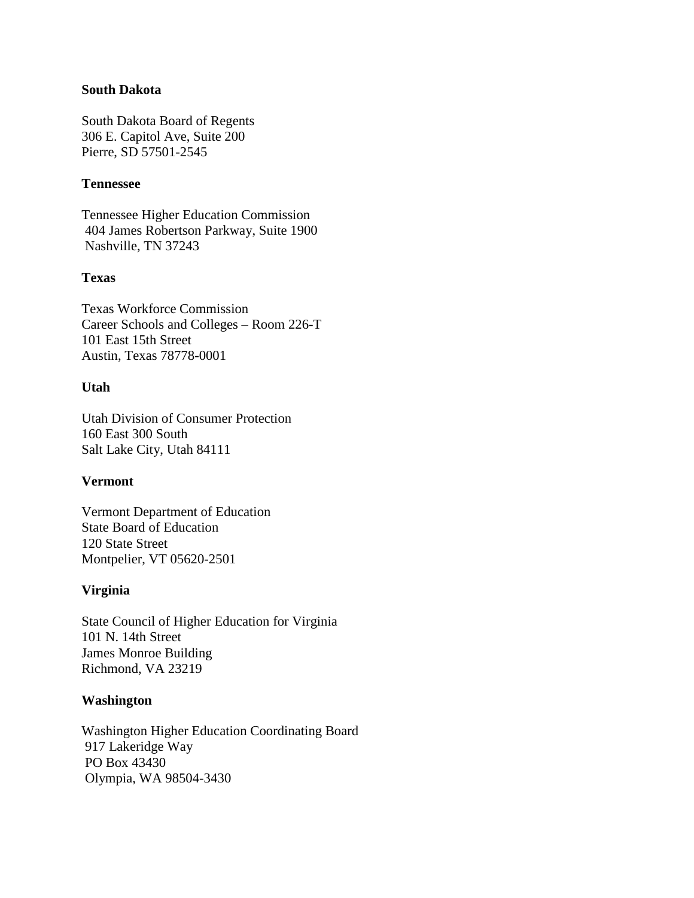#### **South Dakota**

South Dakota Board of Regents 306 E. Capitol Ave, Suite 200 Pierre, SD 57501-2545

#### **Tennessee**

Tennessee Higher Education Commission 404 James Robertson Parkway, Suite 1900 Nashville, TN 37243

#### **Texas**

Texas Workforce Commission Career Schools and Colleges – Room 226-T 101 East 15th Street Austin, Texas 78778-0001

#### **Utah**

Utah Division of Consumer Protection 160 East 300 South Salt Lake City, Utah 84111

#### **Vermont**

Vermont Department of Education State Board of Education 120 State Street Montpelier, VT 05620-2501

#### **Virginia**

State Council of Higher Education for Virginia 101 N. 14th Street James Monroe Building Richmond, VA 23219

#### **Washington**

Washington Higher Education Coordinating Board 917 Lakeridge Way PO Box 43430 Olympia, WA 98504-3430